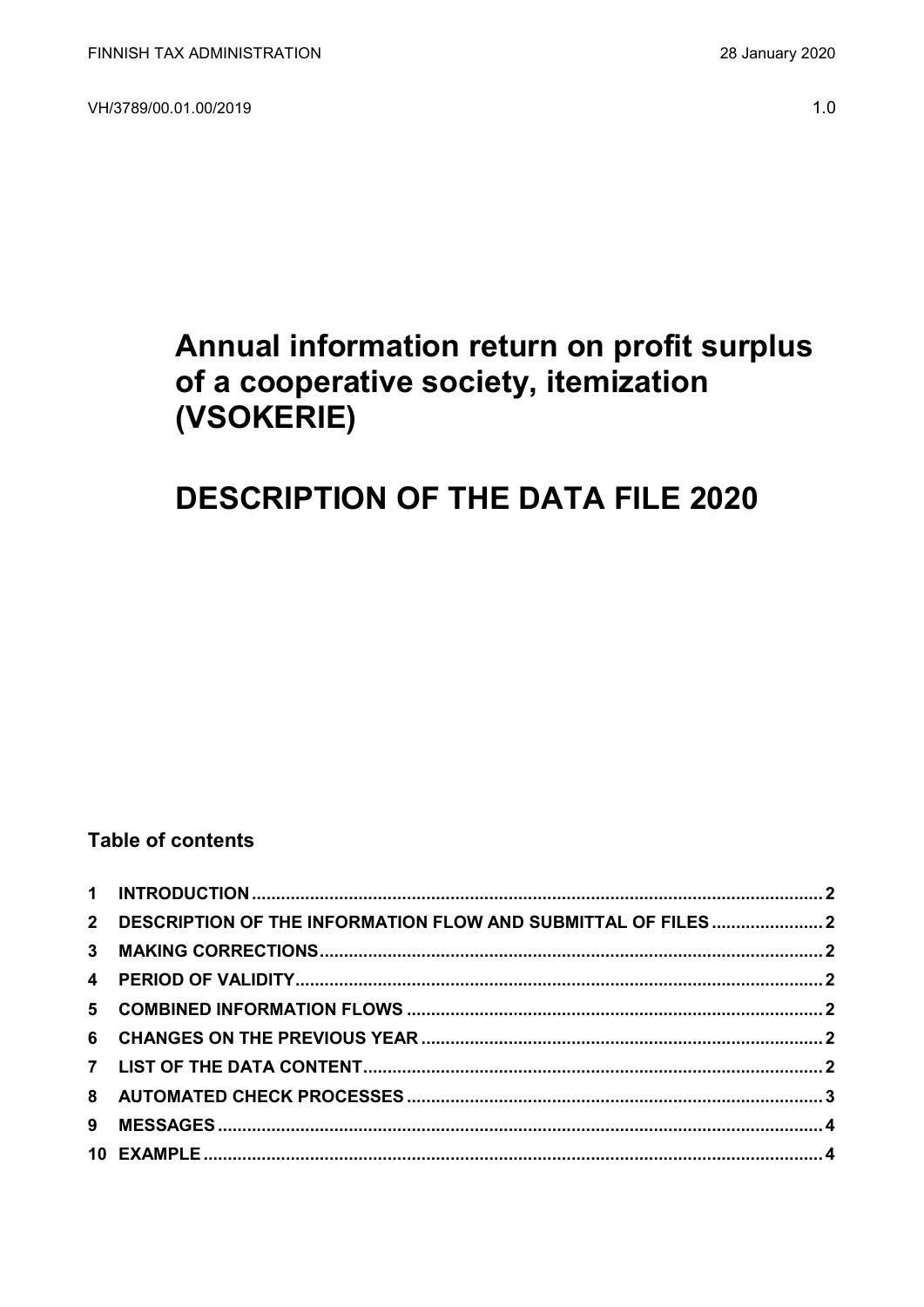VH/3789/00.01.00/2019

## Annual information return on profit surplus of a cooperative society, itemization (VSOKERIE)

# **DESCRIPTION OF THE DATA FILE 2020**

### **Table of contents**

| 2 DESCRIPTION OF THE INFORMATION FLOW AND SUBMITTAL OF FILES  2 |  |
|-----------------------------------------------------------------|--|
|                                                                 |  |
|                                                                 |  |
|                                                                 |  |
|                                                                 |  |
|                                                                 |  |
|                                                                 |  |
|                                                                 |  |
|                                                                 |  |
|                                                                 |  |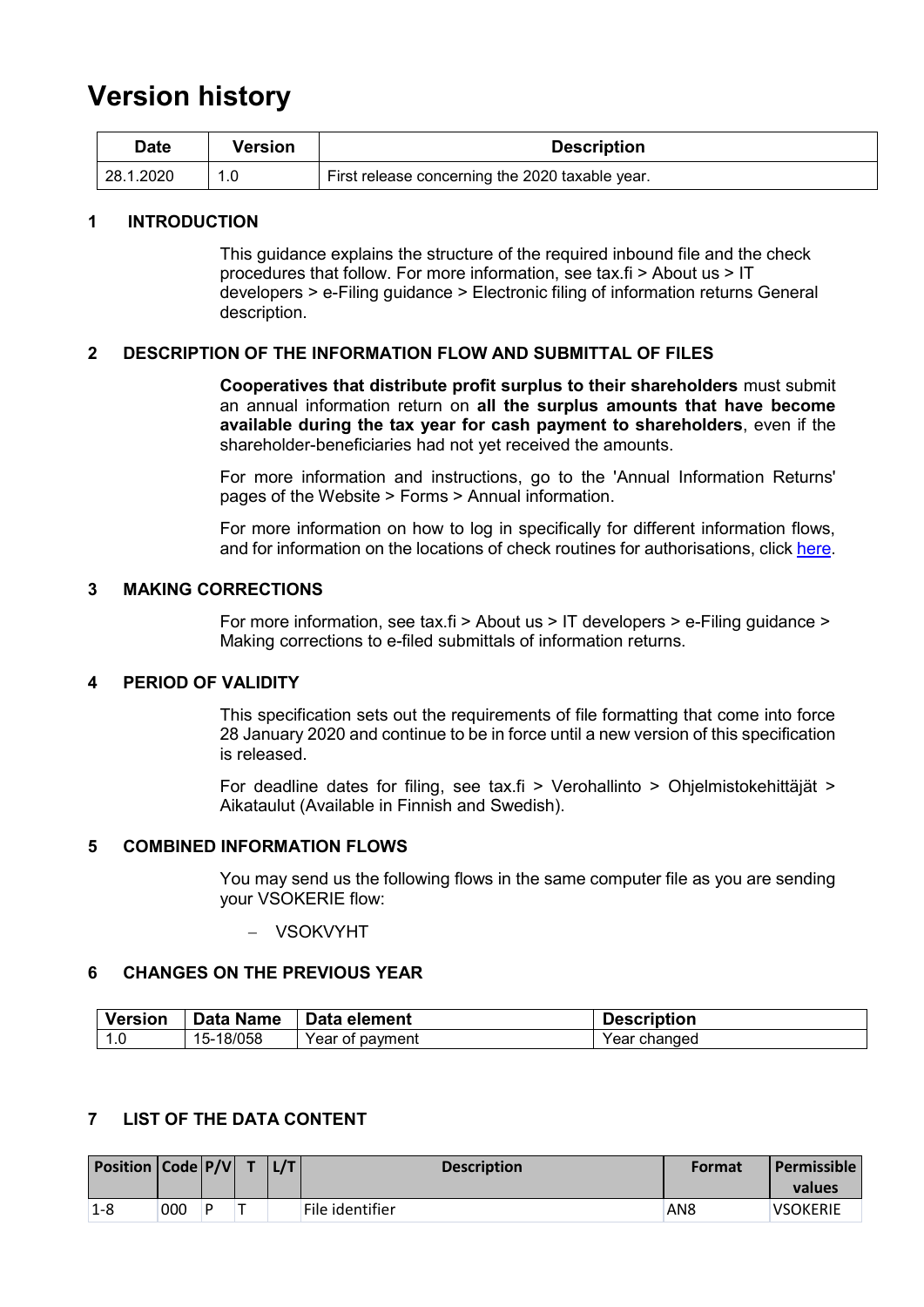## **Version history**

| Date       | Version | <b>Description</b>                              |
|------------|---------|-------------------------------------------------|
| 128.1.2020 |         | First release concerning the 2020 taxable year. |

#### <span id="page-1-0"></span>**1 INTRODUCTION**

This guidance explains the structure of the required inbound file and the check procedures that follow. For more information, see tax.fi > About us > IT developers > e-Filing guidance > Electronic filing of information returns General description.

#### <span id="page-1-1"></span>**2 DESCRIPTION OF THE INFORMATION FLOW AND SUBMITTAL OF FILES**

**Cooperatives that distribute profit surplus to their shareholders** must submit an annual information return on **all the surplus amounts that have become available during the tax year for cash payment to shareholders**, even if the shareholder-beneficiaries had not yet received the amounts.

For more information and instructions, go to the 'Annual Information Returns' pages of the Website > Forms > Annual information.

For more information on how to log in specifically for different information flows, and for information on the locations of check routines for authorisations, click [here.](https://www.ilmoitin.fi/webtamo/sivut/IlmoituslajiRoolit?kieli=en&tv=VSOKERIE)

#### <span id="page-1-2"></span>**3 MAKING CORRECTIONS**

For more information, see tax.fi > About us > IT developers > e-Filing guidance > Making corrections to e-filed submittals of information returns.

#### <span id="page-1-3"></span>**4 PERIOD OF VALIDITY**

This specification sets out the requirements of file formatting that come into force 28 January 2020 and continue to be in force until a new version of this specification is released.

For deadline dates for filing, see tax.fi > Verohallinto > Ohjelmistokehittäjät > Aikataulut (Available in Finnish and Swedish).

#### <span id="page-1-4"></span>**5 COMBINED INFORMATION FLOWS**

You may send us the following flows in the same computer file as you are sending your VSOKERIE flow:

VSOKVYHT

#### <span id="page-1-5"></span>**6 CHANGES ON THE PREVIOUS YEAR**

| <b>Version</b> | <b>Data Name</b> | Data element    | <b>Description</b> |
|----------------|------------------|-----------------|--------------------|
| ن. ا           | -18/058<br>15-   | Year of payment | Year changed       |

#### <span id="page-1-6"></span>**7 LIST OF THE DATA CONTENT**

| Position Code P/V T |     |   | L/T | <b>Description</b> | <b>Format</b>   | 'Permissible<br>values |
|---------------------|-----|---|-----|--------------------|-----------------|------------------------|
| $1-8$               | 000 | D |     | File identifier    | AN <sub>8</sub> | <b>VSOKERIE</b>        |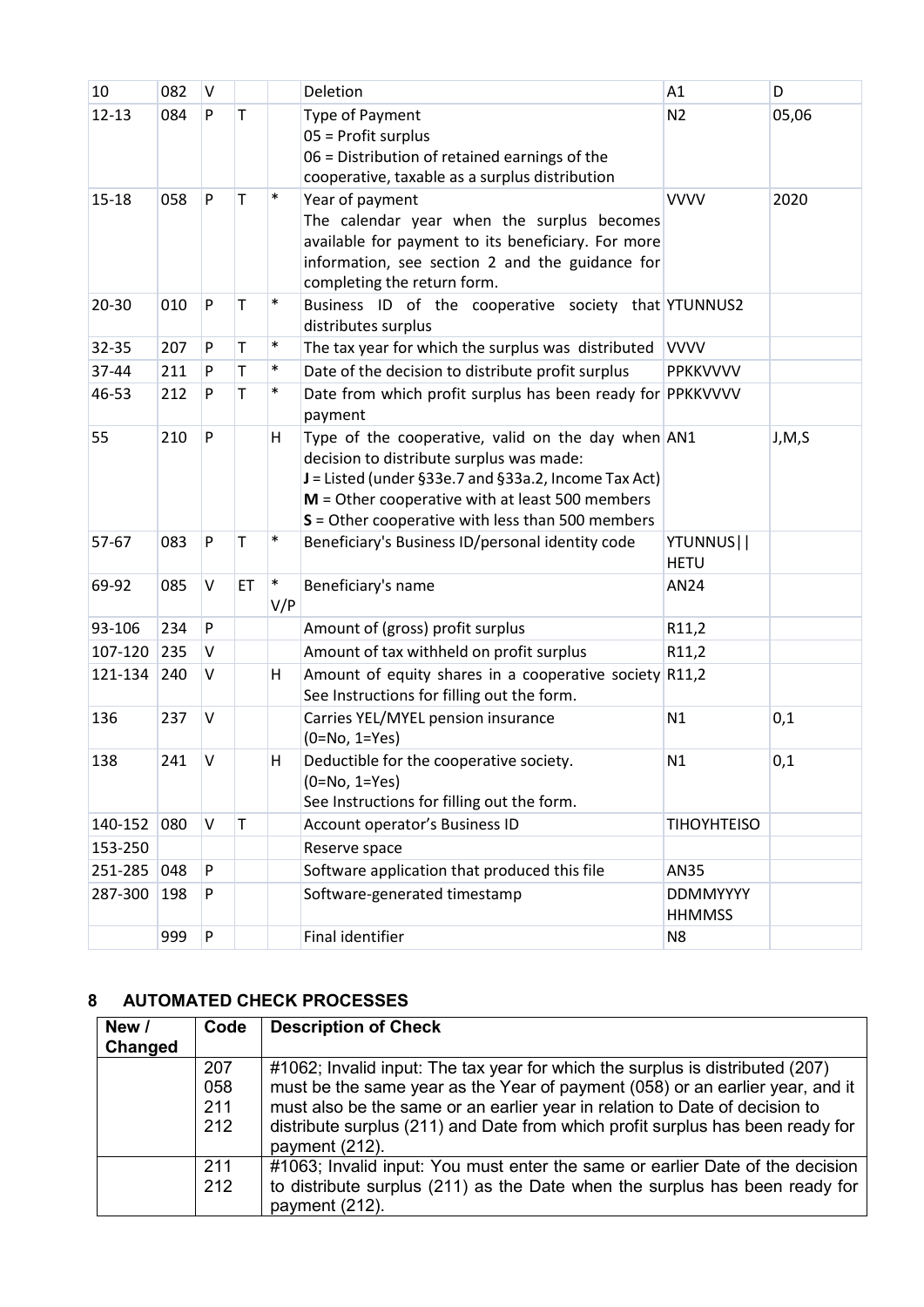| 10        | 082 | V |              |               | Deletion                                                                                                                                                                                                                                                            | A1                               | D       |
|-----------|-----|---|--------------|---------------|---------------------------------------------------------------------------------------------------------------------------------------------------------------------------------------------------------------------------------------------------------------------|----------------------------------|---------|
| $12 - 13$ | 084 | P | $\mathsf{T}$ |               | Type of Payment<br>05 = Profit surplus<br>06 = Distribution of retained earnings of the<br>cooperative, taxable as a surplus distribution                                                                                                                           | N <sub>2</sub>                   | 05,06   |
| $15 - 18$ | 058 | P | Т            | $\ast$        | Year of payment<br>The calendar year when the surplus becomes<br>available for payment to its beneficiary. For more<br>information, see section 2 and the guidance for<br>completing the return form.                                                               | <b>VVVV</b>                      | 2020    |
| 20-30     | 010 | P | Τ            | $\ast$        | Business ID of the cooperative society that YTUNNUS2<br>distributes surplus                                                                                                                                                                                         |                                  |         |
| 32-35     | 207 | P | T            | $\ast$        | The tax year for which the surplus was distributed VVVV                                                                                                                                                                                                             |                                  |         |
| 37-44     | 211 | P | T            | $\ast$        | Date of the decision to distribute profit surplus                                                                                                                                                                                                                   | PPKKVVVV                         |         |
| 46-53     | 212 | P | Τ            | $\ast$        | Date from which profit surplus has been ready for PPKKVVVV<br>payment                                                                                                                                                                                               |                                  |         |
| 55        | 210 | P |              | H             | Type of the cooperative, valid on the day when AN1<br>decision to distribute surplus was made:<br>$J =$ Listed (under §33e.7 and §33a.2, Income Tax Act)<br>$M =$ Other cooperative with at least 500 members<br>$S =$ Other cooperative with less than 500 members |                                  | J, M, S |
| 57-67     | 083 | P | Τ            | $\ast$        | Beneficiary's Business ID/personal identity code                                                                                                                                                                                                                    | YTUNNUS  <br><b>HETU</b>         |         |
| 69-92     | 085 | V | ET           | $\ast$<br>V/P | Beneficiary's name                                                                                                                                                                                                                                                  | AN24                             |         |
| 93-106    | 234 | P |              |               | Amount of (gross) profit surplus                                                                                                                                                                                                                                    | R11,2                            |         |
| 107-120   | 235 | v |              |               | Amount of tax withheld on profit surplus                                                                                                                                                                                                                            | R11,2                            |         |
| 121-134   | 240 | V |              | H             | Amount of equity shares in a cooperative society R11,2<br>See Instructions for filling out the form.                                                                                                                                                                |                                  |         |
| 136       | 237 | V |              |               | Carries YEL/MYEL pension insurance<br>$(0=No, 1=Yes)$                                                                                                                                                                                                               | N1                               | 0,1     |
| 138       | 241 | V |              | Н             | Deductible for the cooperative society.<br>$(0=No, 1=Yes)$<br>See Instructions for filling out the form.                                                                                                                                                            | N1                               | 0,1     |
| 140-152   | 080 | V | T            |               | Account operator's Business ID                                                                                                                                                                                                                                      | <b>TIHOYHTEISO</b>               |         |
| 153-250   |     |   |              |               | Reserve space                                                                                                                                                                                                                                                       |                                  |         |
| 251-285   | 048 | P |              |               | Software application that produced this file                                                                                                                                                                                                                        | AN35                             |         |
| 287-300   | 198 | P |              |               | Software-generated timestamp                                                                                                                                                                                                                                        | <b>DDMMYYYY</b><br><b>HHMMSS</b> |         |
|           | 999 | P |              |               | Final identifier                                                                                                                                                                                                                                                    | N <sub>8</sub>                   |         |

### <span id="page-2-0"></span>**8 AUTOMATED CHECK PROCESSES**

| New /   | Code | <b>Description of Check</b>                                                    |
|---------|------|--------------------------------------------------------------------------------|
| Changed |      |                                                                                |
|         | 207  | #1062; Invalid input: The tax year for which the surplus is distributed (207)  |
|         | 058  | must be the same year as the Year of payment (058) or an earlier year, and it  |
|         | 211  | must also be the same or an earlier year in relation to Date of decision to    |
|         | 212  | distribute surplus (211) and Date from which profit surplus has been ready for |
|         |      | payment (212).                                                                 |
|         | 211  | #1063; Invalid input: You must enter the same or earlier Date of the decision  |
|         | 212  | to distribute surplus (211) as the Date when the surplus has been ready for    |
|         |      | payment (212).                                                                 |